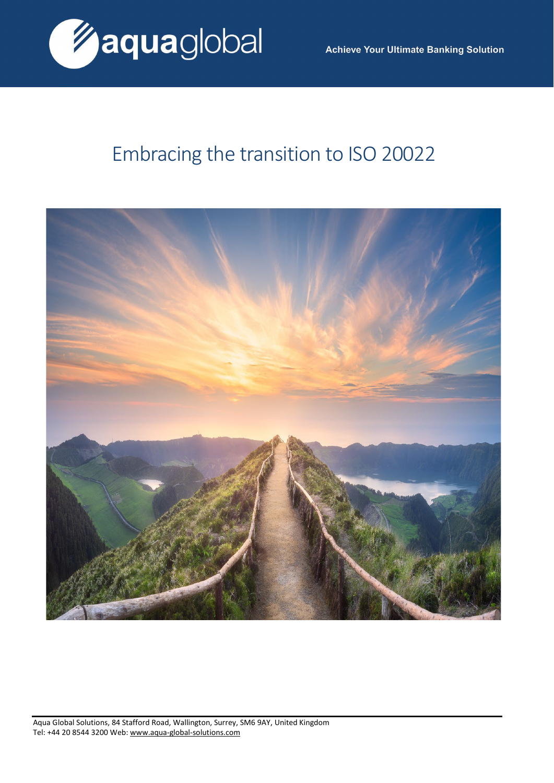

# Embracing the transition to ISO 20022



Aqua Global Solutions, 84 Stafford Road, Wallington, Surrey, SM6 9AY, United Kingdom Tel: +44 20 8544 3200 Web: [www.aqua-global-solutions.com](http://www.aqua-global-solutions.com/)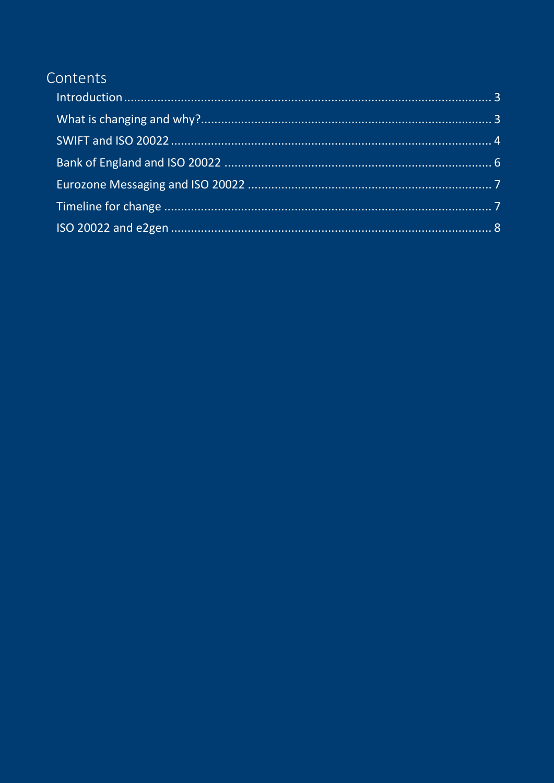## Contents

<span id="page-1-0"></span>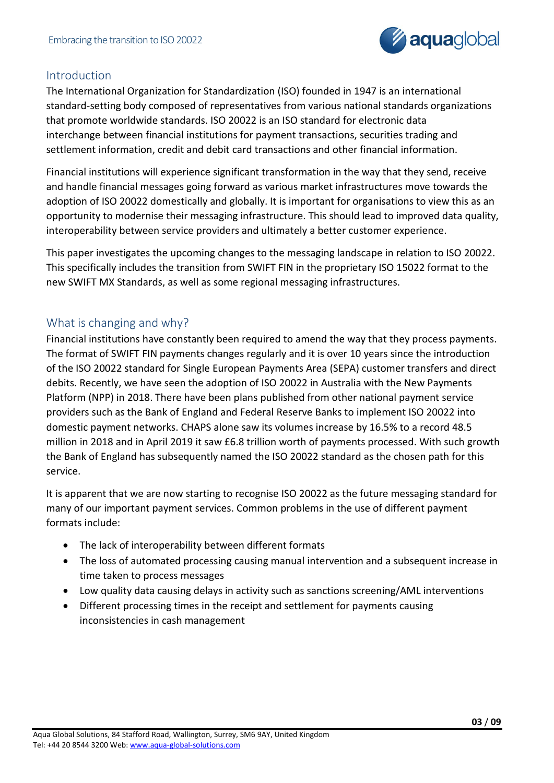

## Introduction

The International Organization for Standardization (ISO) founded in 1947 is an international standard-setting body composed of representatives from various national standards organizations that promote worldwide standards. ISO 20022 is an ISO standard for electronic data interchange between financial institutions for payment transactions, securities trading and settlement information, credit and debit card transactions and other financial information.

Financial institutions will experience significant transformation in the way that they send, receive and handle financial messages going forward as various market infrastructures move towards the adoption of ISO 20022 domestically and globally. It is important for organisations to view this as an opportunity to modernise their messaging infrastructure. This should lead to improved data quality, interoperability between service providers and ultimately a better customer experience.

This paper investigates the upcoming changes to the messaging landscape in relation to ISO 20022. This specifically includes the transition from SWIFT FIN in the proprietary ISO 15022 format to the new SWIFT MX Standards, as well as some regional messaging infrastructures.

## <span id="page-2-0"></span>What is changing and why?

Financial institutions have constantly been required to amend the way that they process payments. The format of SWIFT FIN payments changes regularly and it is over 10 years since the introduction of the ISO 20022 standard for Single European Payments Area (SEPA) customer transfers and direct debits. Recently, we have seen the adoption of ISO 20022 in Australia with the New Payments Platform (NPP) in 2018. There have been plans published from other national payment service providers such as the Bank of England and Federal Reserve Banks to implement ISO 20022 into domestic payment networks. CHAPS alone saw its volumes increase by 16.5% to a record 48.5 million in 2018 and in April 2019 it saw £6.8 trillion worth of payments processed. With such growth the Bank of England has subsequently named the ISO 20022 standard as the chosen path for this service.

It is apparent that we are now starting to recognise ISO 20022 as the future messaging standard for many of our important payment services. Common problems in the use of different payment formats include:

- The lack of interoperability between different formats
- The loss of automated processing causing manual intervention and a subsequent increase in time taken to process messages
- Low quality data causing delays in activity such as sanctions screening/AML interventions
- Different processing times in the receipt and settlement for payments causing inconsistencies in cash management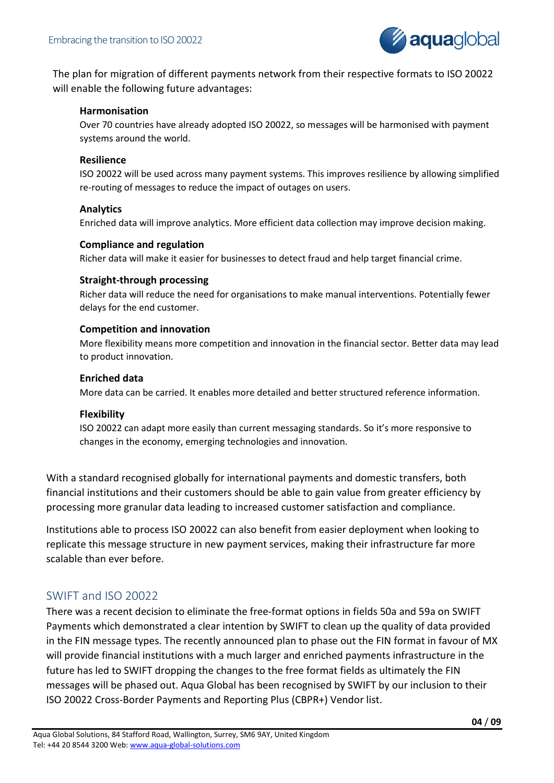

The plan for migration of different payments network from their respective formats to ISO 20022 will enable the following future advantages:

#### **Harmonisation**

Over 70 countries have already adopted ISO 20022, so messages will be harmonised with payment systems around the world.

#### **Resilience**

ISO 20022 will be used across many payment systems. This improves resilience by allowing simplified re-routing of messages to reduce the impact of outages on users.

#### **Analytics**

Enriched data will improve analytics. More efficient data collection may improve decision making.

#### **Compliance and regulation**

Richer data will make it easier for businesses to detect fraud and help target financial crime.

#### **Straight-through processing**

Richer data will reduce the need for organisations to make manual interventions. Potentially fewer delays for the end customer.

#### **Competition and innovation**

More flexibility means more competition and innovation in the financial sector. Better data may lead to product innovation.

#### **Enriched data**

More data can be carried. It enables more detailed and better structured reference information.

#### **Flexibility**

ISO 20022 can adapt more easily than current messaging standards. So it's more responsive to changes in the economy, emerging technologies and innovation.

With a standard recognised globally for international payments and domestic transfers, both financial institutions and their customers should be able to gain value from greater efficiency by processing more granular data leading to increased customer satisfaction and compliance.

<span id="page-3-0"></span>Institutions able to process ISO 20022 can also benefit from easier deployment when looking to replicate this message structure in new payment services, making their infrastructure far more scalable than ever before.

## SWIFT and ISO 20022

There was a recent decision to eliminate the free-format options in fields 50a and 59a on SWIFT Payments which demonstrated a clear intention by SWIFT to clean up the quality of data provided in the FIN message types. The recently announced plan to phase out the FIN format in favour of MX will provide financial institutions with a much larger and enriched payments infrastructure in the future has led to SWIFT dropping the changes to the free format fields as ultimately the FIN messages will be phased out. Aqua Global has been recognised by SWIFT by our inclusion to their ISO 20022 Cross-Border Payments and Reporting Plus (CBPR+) Vendor list.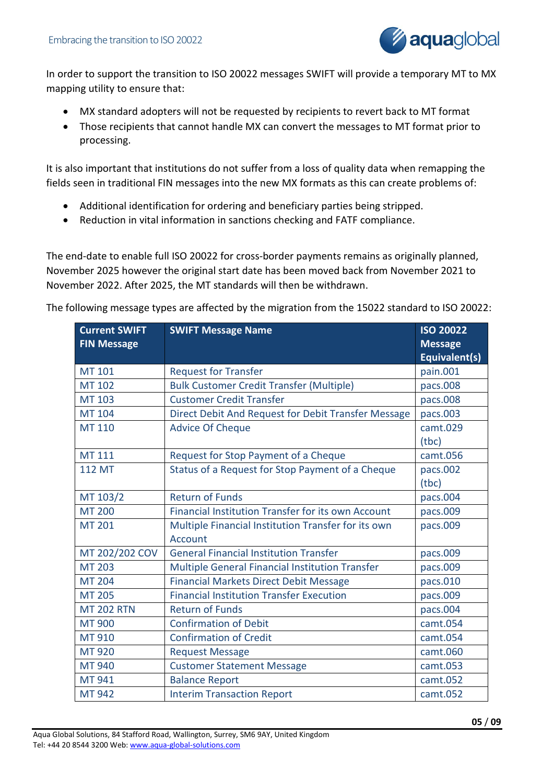

In order to support the transition to ISO 20022 messages SWIFT will provide a temporary MT to MX mapping utility to ensure that:

- MX standard adopters will not be requested by recipients to revert back to MT format
- Those recipients that cannot handle MX can convert the messages to MT format prior to processing.

It is also important that institutions do not suffer from a loss of quality data when remapping the fields seen in traditional FIN messages into the new MX formats as this can create problems of:

- Additional identification for ordering and beneficiary parties being stripped.
- Reduction in vital information in sanctions checking and FATF compliance.

The end-date to enable full ISO 20022 for cross-border payments remains as originally planned, November 2025 however the original start date has been moved back from November 2021 to November 2022. After 2025, the MT standards will then be withdrawn.

The following message types are affected by the migration from the 15022 standard to ISO 20022:

| <b>Current SWIFT</b><br><b>FIN Message</b> | <b>SWIFT Message Name</b>                           | <b>ISO 20022</b><br><b>Message</b> |
|--------------------------------------------|-----------------------------------------------------|------------------------------------|
|                                            |                                                     | Equivalent(s)                      |
| <b>MT 101</b>                              | <b>Request for Transfer</b>                         | pain.001                           |
| <b>MT 102</b>                              | <b>Bulk Customer Credit Transfer (Multiple)</b>     | pacs.008                           |
| <b>MT 103</b>                              | <b>Customer Credit Transfer</b>                     | pacs.008                           |
| MT 104                                     | Direct Debit And Request for Debit Transfer Message | pacs.003                           |
| <b>MT 110</b>                              | <b>Advice Of Cheque</b>                             | camt.029                           |
|                                            |                                                     | (tbc)                              |
| <b>MT 111</b>                              | Request for Stop Payment of a Cheque                | camt.056                           |
| <b>112 MT</b>                              | Status of a Request for Stop Payment of a Cheque    | pacs.002                           |
|                                            |                                                     | (tbc)                              |
| MT 103/2                                   | <b>Return of Funds</b>                              | pacs.004                           |
| <b>MT 200</b>                              | Financial Institution Transfer for its own Account  | pacs.009                           |
| <b>MT 201</b>                              | Multiple Financial Institution Transfer for its own | pacs.009                           |
|                                            | Account                                             |                                    |
| MT 202/202 COV                             | <b>General Financial Institution Transfer</b>       | pacs.009                           |
| <b>MT 203</b>                              | Multiple General Financial Institution Transfer     | pacs.009                           |
| <b>MT 204</b>                              | <b>Financial Markets Direct Debit Message</b>       | pacs.010                           |
| <b>MT 205</b>                              | <b>Financial Institution Transfer Execution</b>     | pacs.009                           |
| <b>MT 202 RTN</b>                          | <b>Return of Funds</b>                              | pacs.004                           |
| <b>MT 900</b>                              | <b>Confirmation of Debit</b>                        | camt.054                           |
| MT 910                                     | <b>Confirmation of Credit</b>                       | camt.054                           |
| MT 920                                     | <b>Request Message</b>                              | camt.060                           |
| MT 940                                     | <b>Customer Statement Message</b>                   | camt.053                           |
| MT 941                                     | <b>Balance Report</b>                               | camt.052                           |
| <b>MT 942</b>                              | <b>Interim Transaction Report</b>                   | camt.052                           |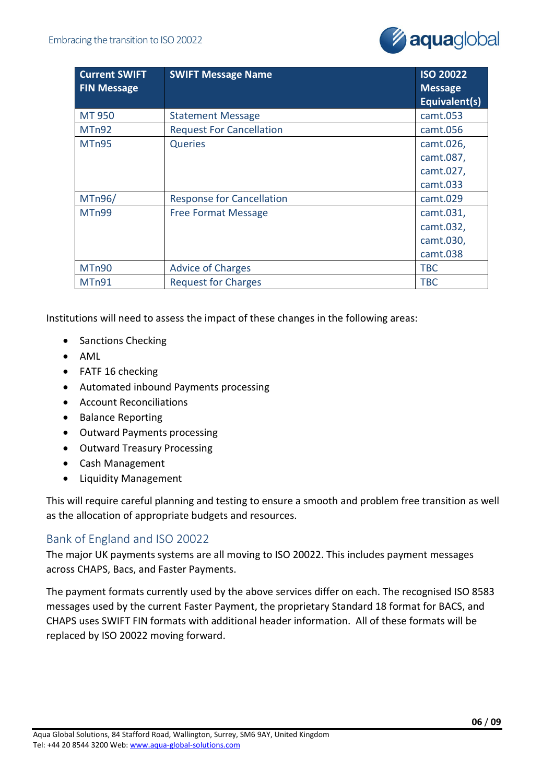

| <b>Current SWIFT</b> | <b>SWIFT Message Name</b>        | <b>ISO 20022</b>                |
|----------------------|----------------------------------|---------------------------------|
| <b>FIN Message</b>   |                                  | <b>Message</b><br>Equivalent(s) |
| MT 950               | <b>Statement Message</b>         | camt.053                        |
| MTn92                | <b>Request For Cancellation</b>  | camt.056                        |
| MT <sub>n</sub> 95   | <b>Queries</b>                   | camt.026,                       |
|                      |                                  | camt.087,                       |
|                      |                                  | camt.027,                       |
|                      |                                  | camt.033                        |
| MTn96/               | <b>Response for Cancellation</b> | camt.029                        |
| MT <sub>n</sub> 99   | <b>Free Format Message</b>       | camt.031,                       |
|                      |                                  | camt.032,                       |
|                      |                                  | camt.030,                       |
|                      |                                  | camt.038                        |
| MTn90                | <b>Advice of Charges</b>         | <b>TBC</b>                      |
| MTn91                | <b>Request for Charges</b>       | <b>TBC</b>                      |

Institutions will need to assess the impact of these changes in the following areas:

- Sanctions Checking
- AML
- FATF 16 checking
- Automated inbound Payments processing
- Account Reconciliations
- Balance Reporting
- Outward Payments processing
- Outward Treasury Processing
- Cash Management
- Liquidity Management

This will require careful planning and testing to ensure a smooth and problem free transition as well as the allocation of appropriate budgets and resources.

## <span id="page-5-0"></span>Bank of England and ISO 20022

The major UK payments systems are all moving to ISO 20022. This includes payment messages across CHAPS, Bacs, and Faster Payments.

The payment formats currently used by the above services differ on each. The recognised ISO 8583 messages used by the current Faster Payment, the proprietary Standard 18 format for BACS, and CHAPS uses SWIFT FIN formats with additional header information. All of these formats will be replaced by ISO 20022 moving forward.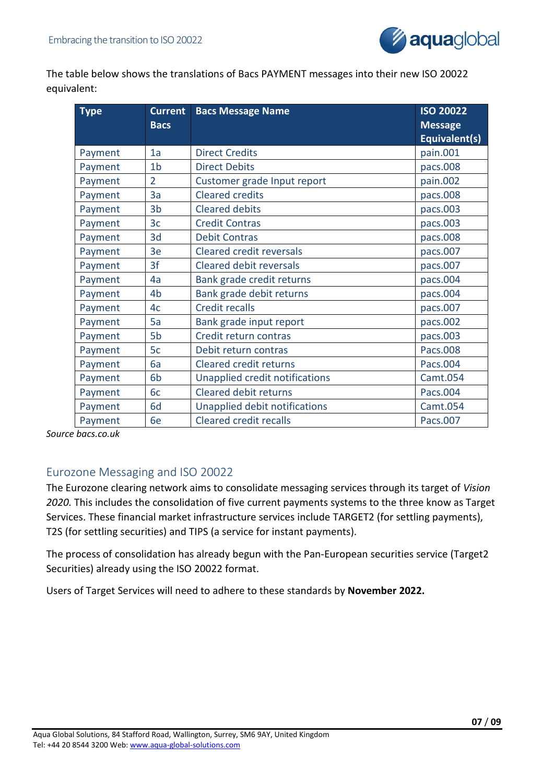

The table below shows the translations of Bacs PAYMENT messages into their new ISO 20022 equivalent:

| <b>Type</b> | <b>Current</b> | <b>Bacs Message Name</b>        | <b>ISO 20022</b> |
|-------------|----------------|---------------------------------|------------------|
|             | <b>Bacs</b>    |                                 | <b>Message</b>   |
|             |                |                                 | Equivalent(s)    |
| Payment     | 1a             | <b>Direct Credits</b>           | pain.001         |
| Payment     | 1 <sub>b</sub> | <b>Direct Debits</b>            | pacs.008         |
| Payment     | $\overline{2}$ | Customer grade Input report     | pain.002         |
| Payment     | 3a             | <b>Cleared credits</b>          | pacs.008         |
| Payment     | 3 <sub>b</sub> | <b>Cleared debits</b>           | pacs.003         |
| Payment     | 3 <sub>c</sub> | <b>Credit Contras</b>           | pacs.003         |
| Payment     | 3d             | <b>Debit Contras</b>            | pacs.008         |
| Payment     | 3e             | <b>Cleared credit reversals</b> | pacs.007         |
| Payment     | 3f             | <b>Cleared debit reversals</b>  | pacs.007         |
| Payment     | 4a             | Bank grade credit returns       | pacs.004         |
| Payment     | 4 <sub>b</sub> | Bank grade debit returns        | pacs.004         |
| Payment     | 4c             | <b>Credit recalls</b>           | pacs.007         |
| Payment     | 5a             | Bank grade input report         | pacs.002         |
| Payment     | 5b             | Credit return contras           | pacs.003         |
| Payment     | 5c             | Debit return contras            | Pacs.008         |
| Payment     | 6a             | <b>Cleared credit returns</b>   | Pacs.004         |
| Payment     | 6b             | Unapplied credit notifications  | Camt.054         |
| Payment     | 6c             | <b>Cleared debit returns</b>    | Pacs.004         |
| Payment     | 6d             | Unapplied debit notifications   | Camt.054         |
| Payment     | 6e             | <b>Cleared credit recalls</b>   | Pacs.007         |

*Source bacs.co.uk*

## <span id="page-6-0"></span>Eurozone Messaging and ISO 20022

The Eurozone clearing network aims to consolidate messaging services through its target of *Vision 2020.* This includes the consolidation of five current payments systems to the three know as Target Services. These financial market infrastructure services include TARGET2 (for settling payments), T2S (for settling securities) and TIPS (a service for instant payments).

The process of consolidation has already begun with the Pan-European securities service (Target2 Securities) already using the ISO 20022 format.

<span id="page-6-1"></span>Users of Target Services will need to adhere to these standards by **November 2022.**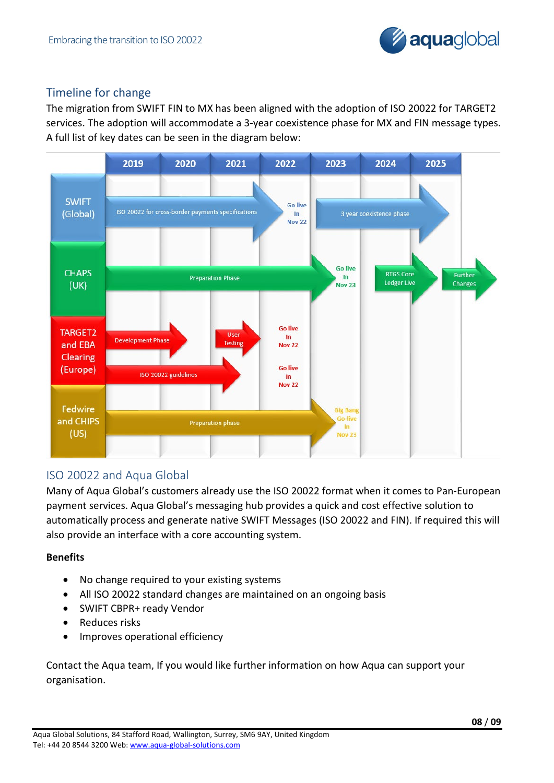

## Timeline for change

The migration from SWIFT FIN to MX has been aligned with the adoption of ISO 20022 for TARGET2 services. The adoption will accommodate a 3-year coexistence phase for MX and FIN message types. A full list of key dates can be seen in the diagram below:



## <span id="page-7-0"></span>ISO 20022 and Aqua Global

Many of Aqua Global's customers already use the ISO 20022 format when it comes to Pan-European payment services. Aqua Global's messaging hub provides a quick and cost effective solution to automatically process and generate native SWIFT Messages (ISO 20022 and FIN). If required this will also provide an interface with a core accounting system.

## **Benefits**

- No change required to your existing systems
- All ISO 20022 standard changes are maintained on an ongoing basis
- SWIFT CBPR+ ready Vendor
- Reduces risks
- Improves operational efficiency

Contact the Aqua team, If you would like further information on how Aqua can support your organisation.